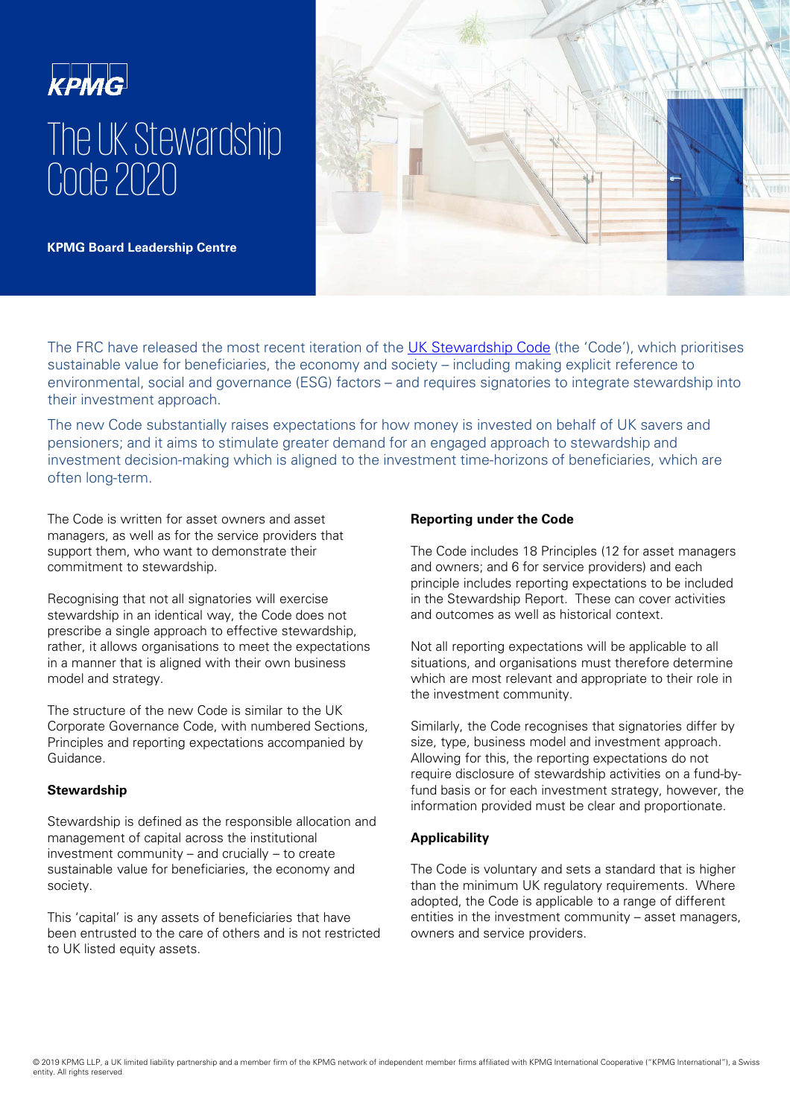



**KPMG Board Leadership Centre**

The FRC have released the most recent iteration of the [UK Stewardship Code](https://www.frc.org.uk/getattachment/5aae591d-d9d3-4cf4-814a-d14e156a1d87/Stewardship-Code_Final2.pdf) (the 'Code'), which prioritises sustainable value for beneficiaries, the economy and society – including making explicit reference to environmental, social and governance (ESG) factors – and requires signatories to integrate stewardship into their investment approach.

The new Code substantially raises expectations for how money is invested on behalf of UK savers and pensioners; and it aims to stimulate greater demand for an engaged approach to stewardship and investment decision-making which is aligned to the investment time-horizons of beneficiaries, which are often long-term.

The Code is written for asset owners and asset managers, as well as for the service providers that support them, who want to demonstrate their commitment to stewardship.

Recognising that not all signatories will exercise stewardship in an identical way, the Code does not prescribe a single approach to effective stewardship, rather, it allows organisations to meet the expectations in a manner that is aligned with their own business model and strategy.

The structure of the new Code is similar to the UK Corporate Governance Code, with numbered Sections, Principles and reporting expectations accompanied by Guidance.

### **Stewardship**

Stewardship is defined as the responsible allocation and management of capital across the institutional investment community – and crucially – to create sustainable value for beneficiaries, the economy and society.

This 'capital' is any assets of beneficiaries that have been entrusted to the care of others and is not restricted to UK listed equity assets.

### **Reporting under the Code**

The Code includes 18 Principles (12 for asset managers and owners; and 6 for service providers) and each principle includes reporting expectations to be included in the Stewardship Report. These can cover activities and outcomes as well as historical context.

Not all reporting expectations will be applicable to all situations, and organisations must therefore determine which are most relevant and appropriate to their role in the investment community.

Similarly, the Code recognises that signatories differ by size, type, business model and investment approach. Allowing for this, the reporting expectations do not require disclosure of stewardship activities on a fund-byfund basis or for each investment strategy, however, the information provided must be clear and proportionate.

# **Applicability**

The Code is voluntary and sets a standard that is higher than the minimum UK regulatory requirements. Where adopted, the Code is applicable to a range of different entities in the investment community – asset managers, owners and service providers.